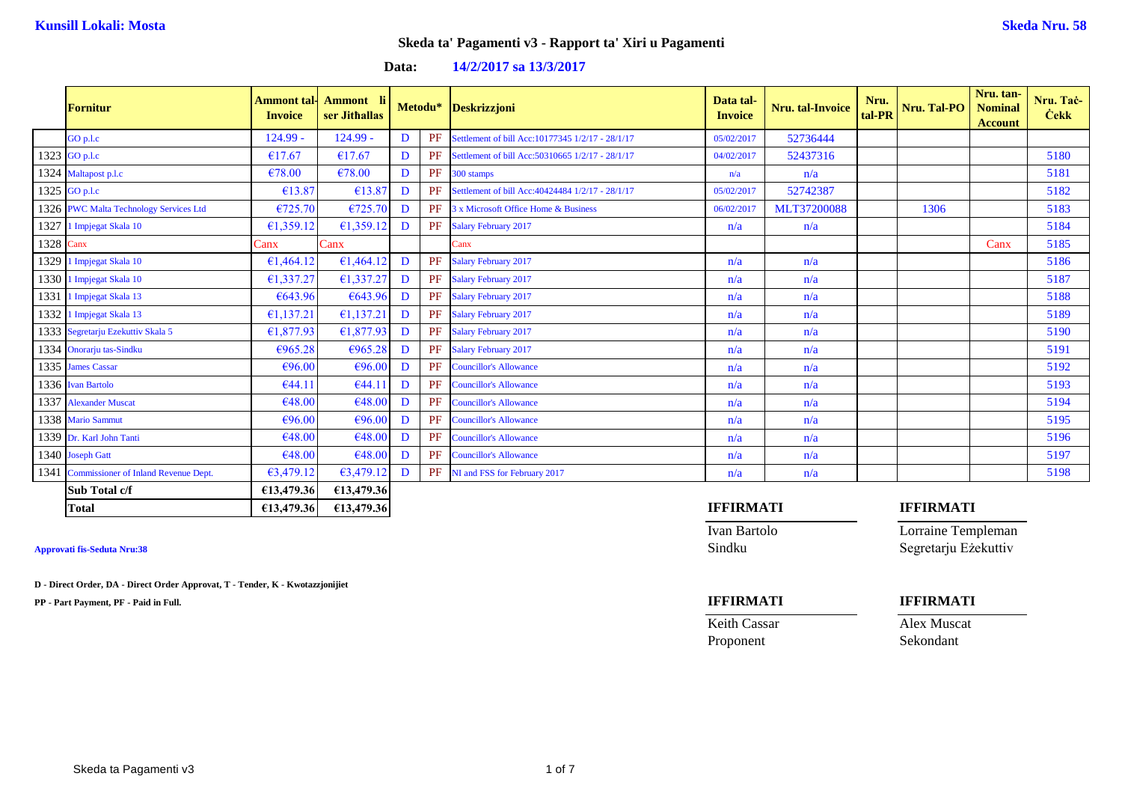**Data: 14/2/2017 sa 13/3/2017**

|      | <b>Fornitur</b>                           | Ammont tal-<br><b>Invoice</b> | Ammont li<br>ser Jithallas |   |           | Metodu* Deskrizzjoni                              | Data tal-<br><b>Invoice</b> | Nru. tal-Invoice | Nru.<br>tal-PR | Nru. Tal-PO      | Nru. tan-<br><b>Nominal</b><br><b>Account</b> | Nru. Tač-<br><b>Cekk</b> |
|------|-------------------------------------------|-------------------------------|----------------------------|---|-----------|---------------------------------------------------|-----------------------------|------------------|----------------|------------------|-----------------------------------------------|--------------------------|
|      | $GO$ p.l.c                                | $124.99 -$                    | $124.99 -$                 | D | PF        | Settlement of bill Acc:10177345 1/2/17 - 28/1/17  | 05/02/2017                  | 52736444         |                |                  |                                               |                          |
|      | 1323 GO p.l.c                             | €17.67                        | €17.67                     | D | <b>PF</b> | Settlement of bill Acc: 50310665 1/2/17 - 28/1/17 | 04/02/2017                  | 52437316         |                |                  |                                               | 5180                     |
|      | 1324 Maltapost p.l.c                      | €78.00                        | €78.00                     | D | PF        | 300 stamps                                        | n/a                         | n/a              |                |                  |                                               | 5181                     |
|      | 1325 GO p.l.c                             | €13.87                        | €13.87                     | D | PF        | Settlement of bill Acc: 40424484 1/2/17 - 28/1/17 | 05/02/2017                  | 52742387         |                |                  |                                               | 5182                     |
|      | 1326 PWC Malta Technology Services Ltd    | €725.70                       | €725.70                    | D | PF        | 3 x Microsoft Office Home & Business              | 06/02/2017                  | MLT37200088      |                | 1306             |                                               | 5183                     |
| 1327 | 1 Impjegat Skala 10                       | €1,359.12                     | €1,359.12                  | D | PF        | <b>Salary February 2017</b>                       | n/a                         | n/a              |                |                  |                                               | 5184                     |
| 1328 | Canx                                      | Canx                          | Canx                       |   |           | Canx                                              |                             |                  |                |                  | Canx                                          | 5185                     |
| 1329 | 1 Impjegat Skala 10                       | €1,464.12                     | €1,464.12                  | D | PF        | <b>Salary February 2017</b>                       | n/a                         | n/a              |                |                  |                                               | 5186                     |
| 1330 | 1 Impjegat Skala 10                       | €1,337.27                     | €1,337.27                  | D |           | PF Salary February 2017                           | n/a                         | n/a              |                |                  |                                               | 5187                     |
| 1331 | 1 Impjegat Skala 13                       | €643.96                       | €643.96                    | D |           | PF Salary February 2017                           | n/a                         | n/a              |                |                  |                                               | 5188                     |
| 1332 | 1 Impjegat Skala 13                       | €1,137.21                     | €1,137.21                  | D |           | PF Salary February 2017                           | n/a                         | n/a              |                |                  |                                               | 5189                     |
|      | 1333 Segretarju Ezekuttiv Skala 5         | €1,877.93                     | £1,877.93                  | D |           | PF Salary February 2017                           | n/a                         | n/a              |                |                  |                                               | 5190                     |
|      | 1334 Onorarju tas-Sindku                  | €965.28                       | €965.28                    | D |           | PF Salary February 2017                           | n/a                         | n/a              |                |                  |                                               | 5191                     |
|      | 1335 James Cassar                         | €96.00                        | €96.00                     | D | <b>PF</b> | <b>Councillor's Allowance</b>                     | n/a                         | n/a              |                |                  |                                               | 5192                     |
|      | 1336 Ivan Bartolo                         | €44.11                        | €44.11                     | D | PF        | <b>Councillor's Allowance</b>                     | n/a                         | n/a              |                |                  |                                               | 5193                     |
|      | 1337 Alexander Muscat                     | €48.00                        | €48.00                     | D | <b>PF</b> | <b>Councillor's Allowance</b>                     | n/a                         | n/a              |                |                  |                                               | 5194                     |
|      | 1338 Mario Sammut                         | €96.00                        | €96.00                     | D | PF        | <b>Councillor's Allowance</b>                     | n/a                         | n/a              |                |                  |                                               | 5195                     |
|      | 1339 Dr. Karl John Tanti                  | €48.00                        | €48.00                     | D | PF        | <b>Councillor's Allowance</b>                     | n/a                         | n/a              |                |                  |                                               | 5196                     |
|      | 1340 Joseph Gatt                          | €48.00                        | €48.00                     | D | PF        | <b>Councillor's Allowance</b>                     | n/a                         | n/a              |                |                  |                                               | 5197                     |
|      | 1341 Commissioner of Inland Revenue Dept. | €3,479,12                     | €3,479.12                  | D | PF        | NI and FSS for February 2017                      | n/a                         | n/a              |                |                  |                                               | 5198                     |
|      | Sub Total c/f                             | €13,479.36                    | €13,479.36                 |   |           |                                                   |                             |                  |                |                  |                                               |                          |
|      | <b>Total</b>                              | £13,479.36                    | €13,479.36                 |   |           |                                                   | <b>IFFIRMATI</b>            |                  |                | <b>IFFIRMATI</b> |                                               |                          |

**D - Direct Order, DA - Direct Order Approvat, T - Tender, K - Kwotazzjonijiet**

**PP - Part Payment, PF - Paid in Full. IFFIRMATI IFFIRMATI**

Ivan Bartolo Lorraine Templeman **Approvati fis-Seduta Nru:38** Sindku Segretarju Eżekuttiv

Proponent Sekondant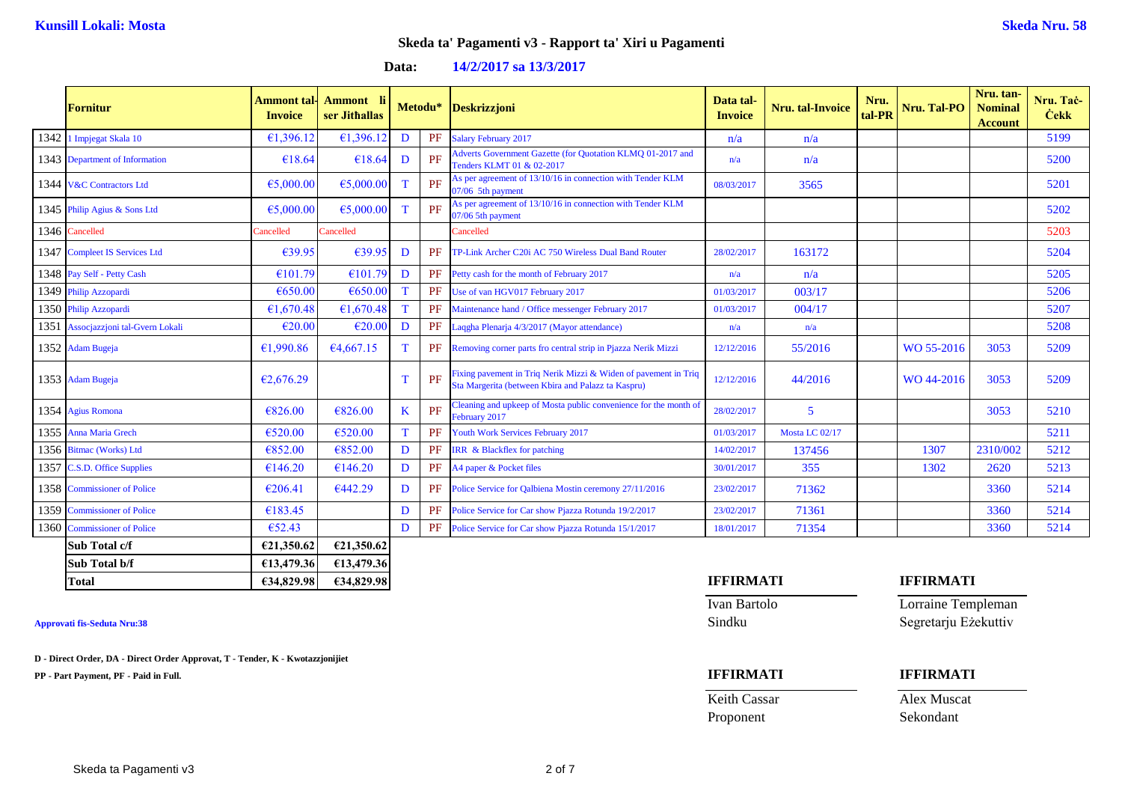**Data: 14/2/2017 sa 13/3/2017**

| <b>Fornitur</b>                     | <b>Ammont tal-</b><br><b>Invoice</b> | Ammont li<br>ser Jithallas |             |    | Metodu* Deskrizzjoni                                                                                                  | Data tal-<br><b>Invoice</b> | <b>Nru.</b> tal-Invoice | Nru.<br>tal-PR | Nru. Tal-PO | Nru. tan-<br><b>Nominal</b><br><b>Account</b> | Nru. Tač-<br><b>Cekk</b> |
|-------------------------------------|--------------------------------------|----------------------------|-------------|----|-----------------------------------------------------------------------------------------------------------------------|-----------------------------|-------------------------|----------------|-------------|-----------------------------------------------|--------------------------|
| 1342 1 Impjegat Skala 10            | €1,396.12                            | €1,396.12                  | D           | PF | <b>Salary February 2017</b>                                                                                           | n/a                         | n/a                     |                |             |                                               | 5199                     |
| 1343 Department of Information      | €18.64                               | €18.64                     | D           | PF | Adverts Government Gazette (for Quotation KLMQ 01-2017 and<br>Tenders KLMT 01 & 02-2017                               | n/a                         | n/a                     |                |             |                                               | 5200                     |
| 1344 V&C Contractors Ltd            | €5,000.00                            | €5,000.00                  | T           | PF | As per agreement of 13/10/16 in connection with Tender KLM<br>07/06 5th payment                                       | 08/03/2017                  | 3565                    |                |             |                                               | 5201                     |
| 1345 Philip Agius & Sons Ltd        | €5,000.00                            | €5,000.00                  | T           | PF | As per agreement of 13/10/16 in connection with Tender KLM<br>07/06 5th payment                                       |                             |                         |                |             |                                               | 5202                     |
| 1346 Cancelled                      | Cancelled                            | Cancelled                  |             |    | Cancelled                                                                                                             |                             |                         |                |             |                                               | 5203                     |
| 1347 Compleet IS Services Ltd       | €39.95                               | €39.95                     | D           | PF | TP-Link Archer C20i AC 750 Wireless Dual Band Router                                                                  | 28/02/2017                  | 163172                  |                |             |                                               | 5204                     |
| 1348 Pay Self - Petty Cash          | €101.79                              | €101.79                    | D           | PF | Petty cash for the month of February 2017                                                                             | n/a                         | n/a                     |                |             |                                               | 5205                     |
| 1349 Philip Azzopardi               | €650.00                              | €650.00                    | T           | PF | Use of van HGV017 February 2017                                                                                       | 01/03/2017                  | 003/17                  |                |             |                                               | 5206                     |
| 1350 Philip Azzopardi               | €1.670.48                            | €1,670.48                  | T           | PF | Maintenance hand / Office messenger February 2017                                                                     | 01/03/2017                  | 004/17                  |                |             |                                               | 5207                     |
| 1351 Assocjazzjoni tal-Gvern Lokali | €20.00                               | €20.00                     | D           | PF | Laqgha Plenarja 4/3/2017 (Mayor attendance)                                                                           | n/a                         | n/a                     |                |             |                                               | 5208                     |
| 1352 Adam Bugeja                    | €1,990.86                            | €4,667.15                  | T           | PF | Removing corner parts fro central strip in Pjazza Nerik Mizzi                                                         | 12/12/2016                  | 55/2016                 |                | WO 55-2016  | 3053                                          | 5209                     |
| 1353 Adam Bugeja                    | €2,676.29                            |                            | $\mathbf T$ | PF | Fixing pavement in Triq Nerik Mizzi & Widen of pavement in Triq<br>Sta Margerita (between Kbira and Palazz ta Kaspru) | 12/12/2016                  | 44/2016                 |                | WO 44-2016  | 3053                                          | 5209                     |
| 1354 Agius Romona                   | €826.00                              | €826.00                    | $\bf K$     | PF | Cleaning and upkeep of Mosta public convenience for the month of<br>February 2017                                     | 28/02/2017                  | 5                       |                |             | 3053                                          | 5210                     |
| 1355 Anna Maria Grech               | €520.00                              | €520.00                    | T           | PF | Youth Work Services February 2017                                                                                     | 01/03/2017                  | Mosta LC 02/17          |                |             |                                               | 5211                     |
| 1356 Bitmac (Works) Ltd             | €852.00                              | €852.00                    | D           | PF | <b>IRR</b> & Blackflex for patching                                                                                   | 14/02/2017                  | 137456                  |                | 1307        | 2310/002                                      | 5212                     |
| 1357 C.S.D. Office Supplies         | €146.20                              | €146.20                    | D           | PF | A4 paper & Pocket files                                                                                               | 30/01/2017                  | 355                     |                | 1302        | 2620                                          | 5213                     |
| 1358 Commissioner of Police         | €206.41                              | €442.29                    | D           | PF | Police Service for Oalbiena Mostin ceremony 27/11/2016                                                                | 23/02/2017                  | 71362                   |                |             | 3360                                          | 5214                     |
| 1359 Commissioner of Police         | €183.45                              |                            | D           | PF | Police Service for Car show Pjazza Rotunda 19/2/2017                                                                  | 23/02/2017                  | 71361                   |                |             | 3360                                          | 5214                     |
| 1360 Commissioner of Police         | €52.43                               |                            | D           | PF | Police Service for Car show Pjazza Rotunda 15/1/2017                                                                  | 18/01/2017                  | 71354                   |                |             | 3360                                          | 5214                     |
| Sub Total c/f                       | €21,350.62                           | €21,350.62                 |             |    |                                                                                                                       |                             |                         |                |             |                                               |                          |
| Sub Total b/f                       | £13,479.36                           | €13,479.36                 |             |    |                                                                                                                       |                             |                         |                |             |                                               |                          |

**D - Direct Order, DA - Direct Order Approvat, T - Tender, K - Kwotazzjonijiet**

**PP - Part Payment, PF - Paid in Full. IFFIRMATI IFFIRMATI**

### **Total €34,829.98 €34,829.98 IFFIRMATI IFFIRMATI**

Ivan Bartolo Lorraine Templeman **Approvati fis-Seduta Nru:38** Sindku Segretarju Eżekuttiv

Keith Cassar Alex Muscat Proponent Sekondant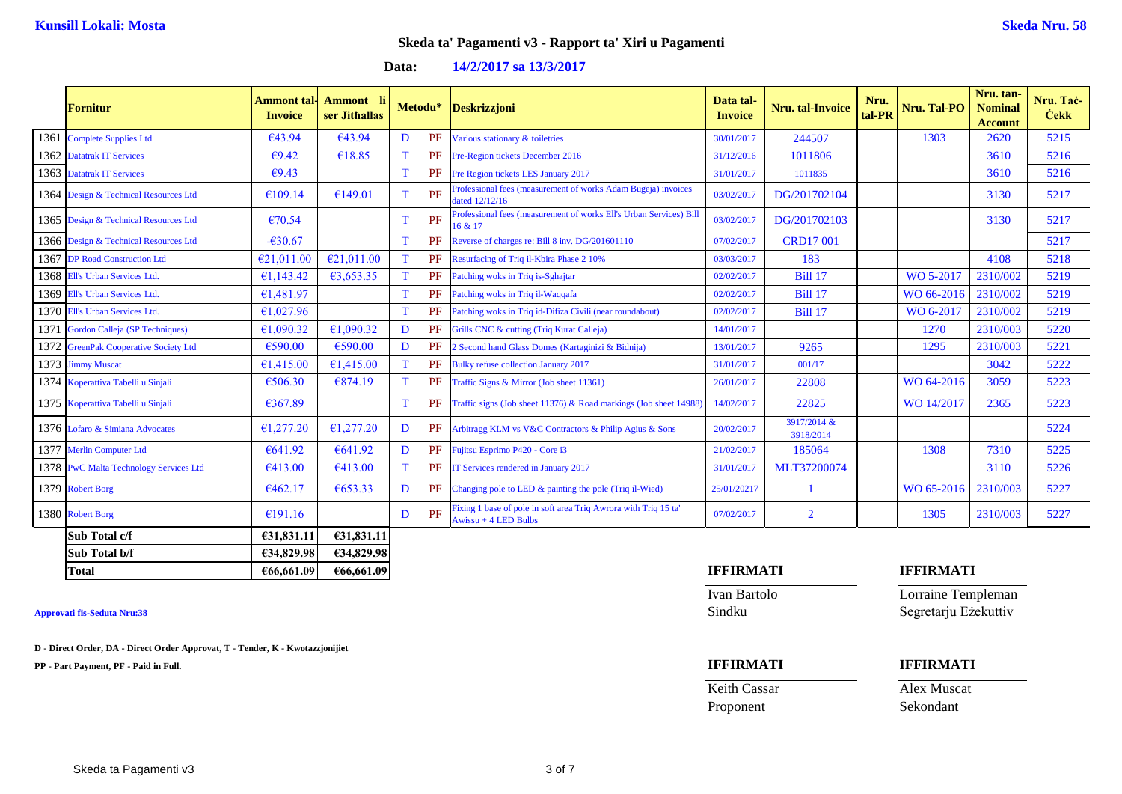**Data: 14/2/2017 sa 13/3/2017**

|      | <b>Fornitur</b>                        | <b>Ammont</b> tal<br><b>Invoice</b> | <b>Ammont</b> li<br>ser Jithallas |             |    | Metodu* Deskrizzjoni                                                                      | Data tal-<br><b>Invoice</b> | Nru. tal-Invoice         | Nru.<br>tal-PR | Nru. Tal-PO | Nru. tan-<br><b>Nominal</b><br><b>Account</b> | Nru. Tač-<br><b>Čekk</b> |
|------|----------------------------------------|-------------------------------------|-----------------------------------|-------------|----|-------------------------------------------------------------------------------------------|-----------------------------|--------------------------|----------------|-------------|-----------------------------------------------|--------------------------|
| 1361 | Complete Supplies Ltd                  | €43.94                              | €43.94                            | D           | PF | Various stationary & toiletries                                                           | 30/01/2017                  | 244507                   |                | 1303        | 2620                                          | 5215                     |
|      | 1362 Datatrak IT Services              | €9.42                               | €18.85                            | T           | PF | Pre-Region tickets December 2016                                                          | 31/12/2016                  | 1011806                  |                |             | 3610                                          | 5216                     |
|      | 1363 Datatrak IT Services              | E9.43                               |                                   | $\mathbf T$ | PF | Pre Region tickets LES January 2017                                                       | 31/01/2017                  | 1011835                  |                |             | 3610                                          | 5216                     |
|      | 1364 Design & Technical Resources Ltd  | €109.14                             | €149.01                           | T           | PF | Professional fees (measurement of works Adam Bugeja) invoices<br>dated 12/12/16           | 03/02/2017                  | DG/201702104             |                |             | 3130                                          | 5217                     |
|      | 1365 Design & Technical Resources Ltd  | €70.54                              |                                   | T           | PF | Professional fees (measurement of works Ell's Urban Services) Bill<br>16 & 17             | 03/02/2017                  | DG/201702103             |                |             | 3130                                          | 5217                     |
|      | 1366 Design & Technical Resources Ltd  | $-630.67$                           |                                   | T           | PF | Reverse of charges re: Bill 8 inv. DG/201601110                                           | 07/02/2017                  | <b>CRD17001</b>          |                |             |                                               | 5217                     |
|      | 1367 DP Road Construction Ltd          | €21,011,00                          | €21,011.00                        | T           | PF | Resurfacing of Triq il-Kbira Phase 2 10%                                                  | 03/03/2017                  | 183                      |                |             | 4108                                          | 5218                     |
|      | 1368 Ell's Urban Services Ltd.         | €1,143.42                           | €3,653.35                         | T           | PF | Patching woks in Triq is-Sghajtar                                                         | 02/02/2017                  | <b>Bill 17</b>           |                | WO 5-2017   | 2310/002                                      | 5219                     |
| 1369 | Ell's Urban Services Ltd.              | €1,481.97                           |                                   | $\mathbf T$ | PF | Patching woks in Triq il-Waqqafa                                                          | 02/02/2017                  | <b>Bill 17</b>           |                | WO 66-2016  | 2310/002                                      | 5219                     |
|      | 1370 Ell's Urban Services Ltd.         | €1,027.96                           |                                   | $\mathbf T$ | PF | Patching woks in Triq id-Difiza Civili (near roundabout)                                  | 02/02/2017                  | <b>Bill 17</b>           |                | WO 6-2017   | 2310/002                                      | 5219                     |
|      | 1371 Gordon Calleja (SP Techniques)    | €1,090.32                           | €1,090.32                         | D           | PF | Grills CNC & cutting (Triq Kurat Calleja)                                                 | 14/01/2017                  |                          |                | 1270        | 2310/003                                      | 5220                     |
|      | 1372 GreenPak Cooperative Society Ltd  | €590.00                             | €590.00                           | D           | PF | 2 Second hand Glass Domes (Kartaginizi & Bidnija)                                         | 13/01/2017                  | 9265                     |                | 1295        | 2310/003                                      | 5221                     |
|      | 1373 Jimmy Muscat                      | €1,415.00                           | €1,415.00                         | $\mathbf T$ | PF | <b>Bulky refuse collection January 2017</b>                                               | 31/01/2017                  | 001/17                   |                |             | 3042                                          | 5222                     |
|      | 1374 Koperattiva Tabelli u Sinjali     | €506.30                             | €874.19                           | $\mathbf T$ | PF | Traffic Signs & Mirror (Job sheet 11361)                                                  | 26/01/2017                  | 22808                    |                | WO 64-2016  | 3059                                          | 5223                     |
|      | 1375 Koperattiva Tabelli u Sinjali     | €367.89                             |                                   | T           | PF | Traffic signs (Job sheet 11376) & Road markings (Job sheet 14988                          | 14/02/2017                  | 22825                    |                | WO 14/2017  | 2365                                          | 5223                     |
|      | 1376 Lofaro & Simiana Advocates        | €1,277.20                           | £1,277,20                         | D           | PF | Arbitragg KLM vs V&C Contractors & Philip Agius & Sons                                    | 20/02/2017                  | 3917/2014 &<br>3918/2014 |                |             |                                               | 5224                     |
|      | 1377 Merlin Computer Ltd               | €641.92                             | €641.92                           | D           | PF | Fujitsu Esprimo P420 - Core i3                                                            | 21/02/2017                  | 185064                   |                | 1308        | 7310                                          | 5225                     |
|      | 1378 PwC Malta Technology Services Ltd | €413.00                             | €413.00                           | T           | PF | IT Services rendered in January 2017                                                      | 31/01/2017                  | MLT37200074              |                |             | 3110                                          | 5226                     |
|      | 1379 Robert Borg                       | €462.17                             | €653.33                           | D           |    | PF Changing pole to LED & painting the pole (Triq il-Wied)                                | 25/01/20217                 |                          |                | WO 65-2016  | 2310/003                                      | 5227                     |
|      | 1380 Robert Borg                       | £191.16                             |                                   | D           | PF | Fixing 1 base of pole in soft area Triq Awrora with Triq 15 ta'<br>$Awissu + 4 LED Bulbs$ | 07/02/2017                  | $\overline{2}$           |                | 1305        | 2310/003                                      | 5227                     |
|      | Sub Total c/f                          | €31,831.11                          | £31,831.11                        |             |    |                                                                                           |                             |                          |                |             |                                               |                          |
|      | Sub Total b/f                          | €34,829.98                          | €34,829.98                        |             |    |                                                                                           |                             |                          |                |             |                                               |                          |

**D - Direct Order, DA - Direct Order Approvat, T - Tender, K - Kwotazzjonijiet**

**PP - Part Payment, PF - Paid in Full. IFFIRMATI IFFIRMATI**

### **Total €66,661.09 €66,661.09 IFFIRMATI IFFIRMATI**

Keith Cassar **Alex Muscat** Proponent Sekondant

Ivan Bartolo Lorraine Templeman **Approvati fis-Seduta Nru:38** Sindku Segretarju Eżekuttiv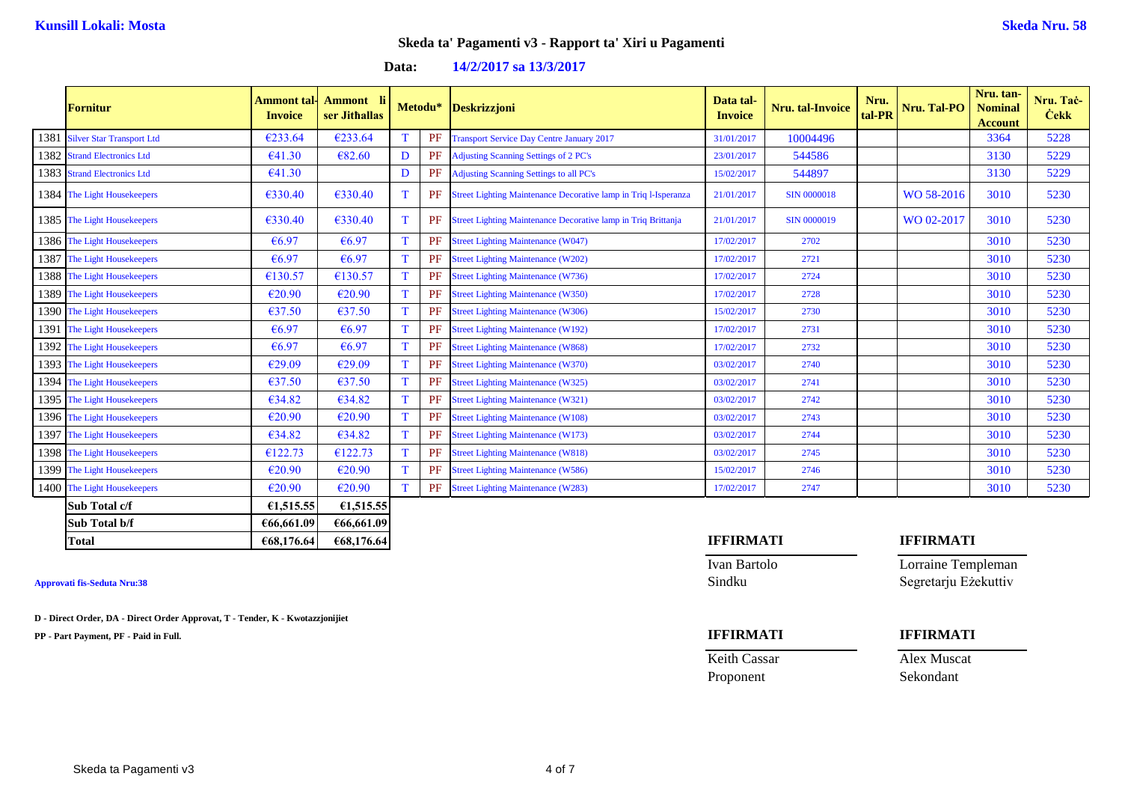**Data: 14/2/2017 sa 13/3/2017**

|      | <b>Fornitur</b>                | <b>Ammont</b> tal<br><b>Invoice</b> | <b>Ammont</b><br>ser Jithallas |             | Metodu* | Deskrizzjoni                                                    | Data tal-<br><b>Invoice</b> | <b>Nru.</b> tal-Invoice | Nru.<br>tal-PR | Nru. Tal-PO | Nru. tan-<br><b>Nominal</b><br><b>Account</b> | Nru. Tač-<br><b>Cekk</b> |
|------|--------------------------------|-------------------------------------|--------------------------------|-------------|---------|-----------------------------------------------------------------|-----------------------------|-------------------------|----------------|-------------|-----------------------------------------------|--------------------------|
|      | 1381 Silver Star Transport Ltd | €233.64                             | €233.64                        | T           | PF      | <b>Transport Service Day Centre January 2017</b>                | 31/01/2017                  | 10004496                |                |             | 3364                                          | 5228                     |
|      | 1382 Strand Electronics Ltd    | €41.30                              | €82.60                         | D           | PF      | <b>Adjusting Scanning Settings of 2 PC's</b>                    | 23/01/2017                  | 544586                  |                |             | 3130                                          | 5229                     |
|      | 1383 Strand Electronics Ltd    | €41.30                              |                                | D           | PF      | <b>Adjusting Scanning Settings to all PC's</b>                  | 15/02/2017                  | 544897                  |                |             | 3130                                          | 5229                     |
|      | 1384 The Light Housekeepers    | €330.40                             | €330.40                        | T           | PF      | Street Lighting Maintenance Decorative lamp in Triq l-Isperanza | 21/01/2017                  | <b>SIN 0000018</b>      |                | WO 58-2016  | 3010                                          | 5230                     |
|      | 1385 The Light Housekeepers    | €330.40                             | €330.40                        | T           | PF      | Street Lighting Maintenance Decorative lamp in Triq Brittanja   | 21/01/2017                  | SIN 0000019             |                | WO 02-2017  | 3010                                          | 5230                     |
|      | 1386 The Light Housekeepers    | €6.97                               | €6.97                          | T           | PF      | <b>Street Lighting Maintenance (W047)</b>                       | 17/02/2017                  | 2702                    |                |             | 3010                                          | 5230                     |
|      | 1387 The Light Housekeepers    | €6.97                               | €6.97                          | T           | PF      | <b>Street Lighting Maintenance (W202)</b>                       | 17/02/2017                  | 2721                    |                |             | 3010                                          | 5230                     |
|      | 1388 The Light Housekeepers    | €130.57                             | €130.57                        | $\mathbf T$ | PF      | <b>Street Lighting Maintenance (W736)</b>                       | 17/02/2017                  | 2724                    |                |             | 3010                                          | 5230                     |
|      | 1389 The Light Housekeepers    | €20.90                              | €20.90                         | $\mathbf T$ | PF      | <b>Street Lighting Maintenance (W350)</b>                       | 17/02/2017                  | 2728                    |                |             | 3010                                          | 5230                     |
|      | 1390 The Light Housekeepers    | €37.50                              | €37.50                         | T           | PF      | <b>Street Lighting Maintenance (W306)</b>                       | 15/02/2017                  | 2730                    |                |             | 3010                                          | 5230                     |
|      | 1391 The Light Housekeepers    | €6.97                               | €6.97                          | $\mathbf T$ | PF      | <b>Street Lighting Maintenance (W192)</b>                       | 17/02/2017                  | 2731                    |                |             | 3010                                          | 5230                     |
|      | 1392 The Light Housekeepers    | €6.97                               | €6.97                          | T           | PF      | <b>Street Lighting Maintenance (W868)</b>                       | 17/02/2017                  | 2732                    |                |             | 3010                                          | 5230                     |
|      | 1393 The Light Housekeepers    | €29.09                              | €29.09                         | T           | PF      | <b>Street Lighting Maintenance (W370)</b>                       | 03/02/2017                  | 2740                    |                |             | 3010                                          | 5230                     |
|      | 1394 The Light Housekeepers    | €37.50                              | €37.50                         | T           | PF      | <b>Street Lighting Maintenance (W325)</b>                       | 03/02/2017                  | 2741                    |                |             | 3010                                          | 5230                     |
|      | 1395 The Light Housekeepers    | €34.82                              | €34.82                         | $\mathbf T$ | PF      | <b>Street Lighting Maintenance (W321)</b>                       | 03/02/2017                  | 2742                    |                |             | 3010                                          | 5230                     |
|      | 1396 The Light Housekeepers    | $\epsilon$ 20.90                    | €20.90                         | T           | PF      | <b>Street Lighting Maintenance (W108)</b>                       | 03/02/2017                  | 2743                    |                |             | 3010                                          | 5230                     |
| 1397 | The Light Housekeepers         | €34.82                              | €34.82                         | T           | PF      | <b>Street Lighting Maintenance (W173)</b>                       | 03/02/2017                  | 2744                    |                |             | 3010                                          | 5230                     |
|      | 1398 The Light Housekeepers    | €122.73                             | €122.73                        | T           | PF      | <b>Street Lighting Maintenance (W818)</b>                       | 03/02/2017                  | 2745                    |                |             | 3010                                          | 5230                     |
|      | 1399 The Light Housekeepers    | €20.90                              | €20.90                         | T           | PF      | <b>Street Lighting Maintenance (W586)</b>                       | 15/02/2017                  | 2746                    |                |             | 3010                                          | 5230                     |
|      | 1400 The Light Housekeepers    | €20.90                              | €20.90                         | T           | PF      | <b>Street Lighting Maintenance (W283)</b>                       | 17/02/2017                  | 2747                    |                |             | 3010                                          | 5230                     |
|      | Sub Total c/f                  | €1,515.55                           | £1,515.55                      |             |         |                                                                 |                             |                         |                |             |                                               |                          |
|      | Sub Total b/f                  | €66,661.09                          | €66,661.09                     |             |         |                                                                 |                             |                         |                |             |                                               |                          |

**D - Direct Order, DA - Direct Order Approvat, T - Tender, K - Kwotazzjonijiet**

**PP - Part Payment, PF - Paid in Full. IFFIRMATI IFFIRMATI**

### **Total €68,176.64 €68,176.64 IFFIRMATI IFFIRMATI**

Ivan Bartolo Lorraine Templeman **Approvati fis-Seduta Nru:38** Sindku Segretarju Eżekuttiv

Proponent Sekondant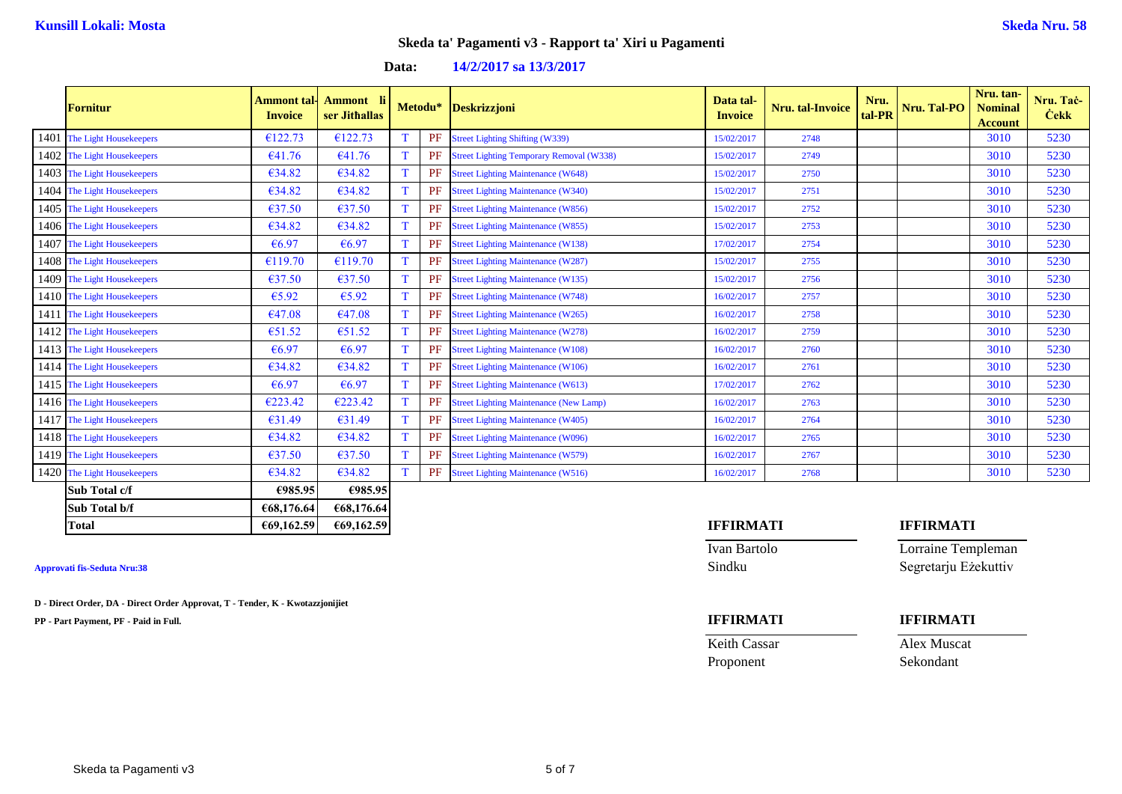**Data: 14/2/2017 sa 13/3/2017**

| <b>Fornitur</b>             | <b>Ammont tal-</b><br><b>Invoice</b> | Ammont li<br>ser Jithallas |             |           | Metodu* Deskrizzjoni                            | Data tal-<br><b>Invoice</b> | Nru. tal-Invoice | Nru.<br>tal-PR | Nru. Tal-PO | Nru. tan-<br><b>Nominal</b><br><b>Account</b> | Nru. Tač-<br><b>Cekk</b> |
|-----------------------------|--------------------------------------|----------------------------|-------------|-----------|-------------------------------------------------|-----------------------------|------------------|----------------|-------------|-----------------------------------------------|--------------------------|
| 1401 The Light Housekeepers | €122.73                              | €122.73                    | T           | PF        | <b>Street Lighting Shifting (W339)</b>          | 15/02/2017                  | 2748             |                |             | 3010                                          | 5230                     |
| 1402 The Light Housekeepers | €41.76                               | €41.76                     | T           | PF        | <b>Street Lighting Temporary Removal (W338)</b> | 15/02/2017                  | 2749             |                |             | 3010                                          | 5230                     |
| 1403 The Light Housekeepers | €34.82                               | €34.82                     | T           | PF        | <b>Street Lighting Maintenance (W648)</b>       | 15/02/2017                  | 2750             |                |             | 3010                                          | 5230                     |
| 1404 The Light Housekeepers | €34.82                               | €34.82                     | $\mathbf T$ | PF        | <b>Street Lighting Maintenance (W340)</b>       | 15/02/2017                  | 2751             |                |             | 3010                                          | 5230                     |
| 1405 The Light Housekeepers | €37.50                               | $\epsilon$ 37.50           | T           | PF        | <b>Street Lighting Maintenance (W856)</b>       | 15/02/2017                  | 2752             |                |             | 3010                                          | 5230                     |
| 1406 The Light Housekeepers | €34.82                               | €34.82                     | $\mathbf T$ | PF        | <b>Street Lighting Maintenance (W855)</b>       | 15/02/2017                  | 2753             |                |             | 3010                                          | 5230                     |
| 1407 The Light Housekeepers | €6.97                                | €6.97                      | T           | PF        | <b>Street Lighting Maintenance (W138)</b>       | 17/02/2017                  | 2754             |                |             | 3010                                          | 5230                     |
| 1408 The Light Housekeepers | €119.70                              | €119.70                    | T           | <b>PF</b> | <b>Street Lighting Maintenance (W287)</b>       | 15/02/2017                  | 2755             |                |             | 3010                                          | 5230                     |
| 1409 The Light Housekeepers | €37.50                               | $\epsilon$ 37.50           | T           | PF        | <b>Street Lighting Maintenance (W135)</b>       | 15/02/2017                  | 2756             |                |             | 3010                                          | 5230                     |
| 1410 The Light Housekeepers | €5.92                                | €5.92                      | T           | PF        | <b>Street Lighting Maintenance (W748)</b>       | 16/02/2017                  | 2757             |                |             | 3010                                          | 5230                     |
| 1411 The Light Housekeepers | €47.08                               | €47.08                     | T           | PF        | <b>Street Lighting Maintenance (W265)</b>       | 16/02/2017                  | 2758             |                |             | 3010                                          | 5230                     |
| 1412 The Light Housekeepers | €51.52                               | €51.52                     | T           | PF        | <b>Street Lighting Maintenance (W278)</b>       | 16/02/2017                  | 2759             |                |             | 3010                                          | 5230                     |
| 1413 The Light Housekeepers | €6.97                                | €6.97                      | T           | PF        | <b>Street Lighting Maintenance (W108)</b>       | 16/02/2017                  | 2760             |                |             | 3010                                          | 5230                     |
| 1414 The Light Housekeepers | €34.82                               | €34.82                     | T           | PF        | <b>Street Lighting Maintenance (W106)</b>       | 16/02/2017                  | 2761             |                |             | 3010                                          | 5230                     |
| 1415 The Light Housekeepers | €6.97                                | €6.97                      | T           | PF        | <b>Street Lighting Maintenance (W613)</b>       | 17/02/2017                  | 2762             |                |             | 3010                                          | 5230                     |
| 1416 The Light Housekeepers | €223.42                              | €223.42                    | T           | PF        | <b>Street Lighting Maintenance (New Lamp)</b>   | 16/02/2017                  | 2763             |                |             | 3010                                          | 5230                     |
| 1417 The Light Housekeepers | €31.49                               | $\epsilon$ 31.49           | T           | PF        | <b>Street Lighting Maintenance (W405)</b>       | 16/02/2017                  | 2764             |                |             | 3010                                          | 5230                     |
| 1418 The Light Housekeepers | €34.82                               | €34.82                     | T           | PF        | <b>Street Lighting Maintenance (W096)</b>       | 16/02/2017                  | 2765             |                |             | 3010                                          | 5230                     |
| 1419 The Light Housekeepers | €37.50                               | €37.50                     | T           | PF        | <b>Street Lighting Maintenance (W579)</b>       | 16/02/2017                  | 2767             |                |             | 3010                                          | 5230                     |
| 1420 The Light Housekeepers | €34.82                               | €34.82                     | T           |           | <b>PF</b> Street Lighting Maintenance (W516)    | 16/02/2017                  | 2768             |                |             | 3010                                          | 5230                     |
| Sub Total c/f               | €985.95                              | €985.95                    |             |           |                                                 |                             |                  |                |             |                                               |                          |
| Sub Total b/f               | €68,176.64                           | €68,176.64                 |             |           |                                                 |                             |                  |                |             |                                               |                          |

**D - Direct Order, DA - Direct Order Approvat, T - Tender, K - Kwotazzjonijiet**

**PP - Part Payment, PF - Paid in Full. IFFIRMATI IFFIRMATI**

### **Total €69,162.59 €69,162.59 IFFIRMATI IFFIRMATI**

Ivan Bartolo Lorraine Templeman **Approvati fis-Seduta Nru:38** Sindku Segretarju Eżekuttiv

Proponent Sekondant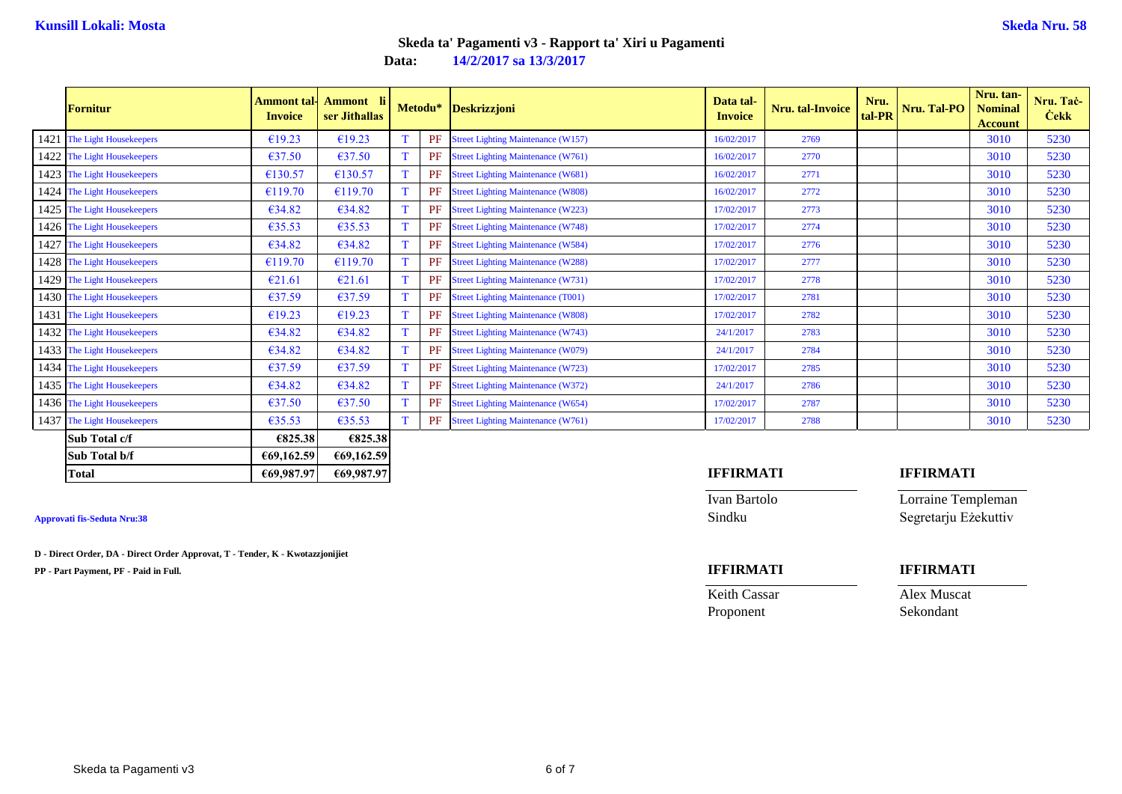**Data: 14/2/2017 sa 13/3/2017**

| <b>Fornitur</b>             | Ammont tal·l<br><b>Invoice</b> | Ammont li<br>ser Jithallas |              | Metodu* | <b>Deskrizzjoni</b>                          | Data tal-<br><b>Invoice</b> | Nru. tal-Invoice | Nru.<br>tal-PR | Nru. Tal-PO | Nru. tan-<br><b>Nominal</b><br><b>Account</b> | Nru. Tač-<br><b>Čekk</b> |
|-----------------------------|--------------------------------|----------------------------|--------------|---------|----------------------------------------------|-----------------------------|------------------|----------------|-------------|-----------------------------------------------|--------------------------|
| 1421 The Light Housekeepers | €19.23                         | €19.23                     |              | PF      | <b>Street Lighting Maintenance (W157)</b>    | 16/02/2017                  | 2769             |                |             | 3010                                          | 5230                     |
| 1422 The Light Housekeepers | €37.50                         | €37.50                     | <b>T</b>     | PF      | <b>Street Lighting Maintenance (W761)</b>    | 16/02/2017                  | 2770             |                |             | 3010                                          | 5230                     |
| 1423 The Light Housekeepers | €130.57                        | €130.57                    | T.           | PF      | <b>Street Lighting Maintenance (W681)</b>    | 16/02/2017                  | 2771             |                |             | 3010                                          | 5230                     |
| 1424 The Light Housekeepers | €119.70                        | €119.70                    | T.           | PF      | <b>Street Lighting Maintenance (W808)</b>    | 16/02/2017                  | 2772             |                |             | 3010                                          | 5230                     |
| 1425 The Light Housekeepers | €34.82                         | €34.82                     | T.           | PF      | <b>Street Lighting Maintenance (W223)</b>    | 17/02/2017                  | 2773             |                |             | 3010                                          | 5230                     |
| 1426 The Light Housekeepers | €35.53                         | €35.53                     | T.           | PF      | <b>Street Lighting Maintenance (W748)</b>    | 17/02/2017                  | 2774             |                |             | 3010                                          | 5230                     |
| 1427 The Light Housekeepers | €34.82                         | €34.82                     | T.           | PF      | <b>Street Lighting Maintenance (W584)</b>    | 17/02/2017                  | 2776             |                |             | 3010                                          | 5230                     |
| 1428 The Light Housekeepers | €119.70                        | €119.70                    | T.           | PF      | <b>Street Lighting Maintenance (W288)</b>    | 17/02/2017                  | 2777             |                |             | 3010                                          | 5230                     |
| 1429 The Light Housekeepers | €21.61                         | €21.61                     | T.           | PF      | <b>Street Lighting Maintenance (W731)</b>    | 17/02/2017                  | 2778             |                |             | 3010                                          | 5230                     |
| 1430 The Light Housekeepers | €37.59                         | €37.59                     | <sup>T</sup> | PF      | <b>Street Lighting Maintenance (T001)</b>    | 17/02/2017                  | 2781             |                |             | 3010                                          | 5230                     |
| 1431 The Light Housekeepers | €19.23                         | €19.23                     | T.           | PF      | <b>Street Lighting Maintenance (W808)</b>    | 17/02/2017                  | 2782             |                |             | 3010                                          | 5230                     |
| 1432 The Light Housekeepers | €34.82                         | €34.82                     | T.           | PF      | <b>Street Lighting Maintenance (W743)</b>    | 24/1/2017                   | 2783             |                |             | 3010                                          | 5230                     |
| 1433 The Light Housekeepers | €34.82                         | €34.82                     | <sup>T</sup> | PF      | <b>Street Lighting Maintenance (W079)</b>    | 24/1/2017                   | 2784             |                |             | 3010                                          | 5230                     |
| 1434 The Light Housekeepers | €37.59                         | €37.59                     | T            | PF      | <b>Street Lighting Maintenance (W723)</b>    | 17/02/2017                  | 2785             |                |             | 3010                                          | 5230                     |
| 1435 The Light Housekeepers | €34.82                         | €34.82                     | T.           | PF      | <b>Street Lighting Maintenance (W372)</b>    | 24/1/2017                   | 2786             |                |             | 3010                                          | 5230                     |
| 1436 The Light Housekeepers | €37.50                         | $\epsilon$ 37.50           | T.           | PF      | <b>Street Lighting Maintenance (W654)</b>    | 17/02/2017                  | 2787             |                |             | 3010                                          | 5230                     |
| 1437 The Light Housekeepers | €35.53                         | €35.53                     | T.           |         | <b>PF</b> Street Lighting Maintenance (W761) | 17/02/2017                  | 2788             |                |             | 3010                                          | 5230                     |
| $\mathbf{C_{ub}}$ Total of  | 0.02520                        | 0.02520                    |              |         |                                              |                             |                  |                |             |                                               |                          |

| Sub Total c/f | €825.381   | €825.38    |  |                  |  |           |
|---------------|------------|------------|--|------------------|--|-----------|
| Sub Total b/f | €69,162.59 | €69,162.59 |  |                  |  |           |
| Total         | €69,987,97 | €69,987.97 |  | <b>IFFIRMATI</b> |  | IFFIRMATI |
|               |            |            |  |                  |  |           |

**D - Direct Order, DA - Direct Order Approvat, T - Tender, K - Kwotazzjonijiet**

**PP - Part Payment, PF - Paid in Full. IFFIRMATI IFFIRMATI**

Ivan Bartolo Lorraine Templeman

**Approvati fis-Seduta Nru:38** Sindku Segretarju Eżekuttiv

Keith Cassar **Alex Muscat** Proponent Sekondant